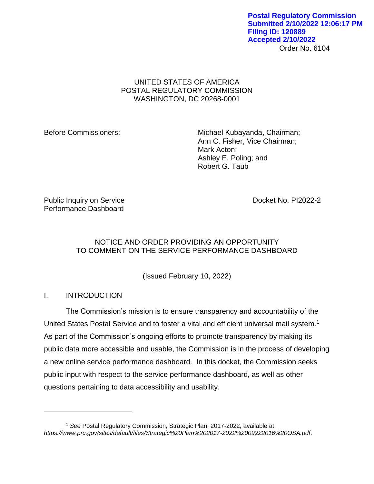Order No. 6104 **Postal Regulatory Commission Submitted 2/10/2022 12:06:17 PM Filing ID: 120889 Accepted 2/10/2022**

# UNITED STATES OF AMERICA POSTAL REGULATORY COMMISSION WASHINGTON, DC 20268-0001

Before Commissioners: Michael Kubayanda, Chairman; Ann C. Fisher, Vice Chairman; Mark Acton; Ashley E. Poling; and Robert G. Taub

Public Inquiry on Service **Docket No. PI2022-2** Performance Dashboard

# NOTICE AND ORDER PROVIDING AN OPPORTUNITY TO COMMENT ON THE SERVICE PERFORMANCE DASHBOARD

(Issued February 10, 2022)

I. INTRODUCTION

 $\overline{a}$ 

The Commission's mission is to ensure transparency and accountability of the United States Postal Service and to foster a vital and efficient universal mail system.<sup>1</sup> As part of the Commission's ongoing efforts to promote transparency by making its public data more accessible and usable, the Commission is in the process of developing a new online service performance dashboard. In this docket, the Commission seeks public input with respect to the service performance dashboard, as well as other questions pertaining to data accessibility and usability.

<sup>1</sup> *See* Postal Regulatory Commission, Strategic Plan: 2017-2022, available at *https://www.prc.gov/sites/default/files/Strategic%20Plan%202017-2022%2009222016%20OSA.pdf*.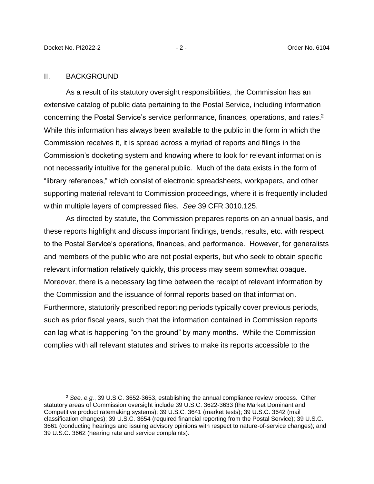#### II. BACKGROUND

As a result of its statutory oversight responsibilities, the Commission has an extensive catalog of public data pertaining to the Postal Service, including information concerning the Postal Service's service performance, finances, operations, and rates. 2 While this information has always been available to the public in the form in which the Commission receives it, it is spread across a myriad of reports and filings in the Commission's docketing system and knowing where to look for relevant information is not necessarily intuitive for the general public. Much of the data exists in the form of "library references," which consist of electronic spreadsheets, workpapers, and other supporting material relevant to Commission proceedings, where it is frequently included within multiple layers of compressed files. *See* 39 CFR 3010.125.

As directed by statute, the Commission prepares reports on an annual basis, and these reports highlight and discuss important findings, trends, results, etc. with respect to the Postal Service's operations, finances, and performance. However, for generalists and members of the public who are not postal experts, but who seek to obtain specific relevant information relatively quickly, this process may seem somewhat opaque. Moreover, there is a necessary lag time between the receipt of relevant information by the Commission and the issuance of formal reports based on that information. Furthermore, statutorily prescribed reporting periods typically cover previous periods, such as prior fiscal years, such that the information contained in Commission reports can lag what is happening "on the ground" by many months. While the Commission complies with all relevant statutes and strives to make its reports accessible to the

<sup>2</sup> *See, e.g.*, 39 U.S.C. 3652-3653, establishing the annual compliance review process. Other statutory areas of Commission oversight include 39 U.S.C. 3622-3633 (the Market Dominant and Competitive product ratemaking systems); 39 U.S.C. 3641 (market tests); 39 U.S.C. 3642 (mail classification changes); 39 U.S.C. 3654 (required financial reporting from the Postal Service); 39 U.S.C. 3661 (conducting hearings and issuing advisory opinions with respect to nature-of-service changes); and 39 U.S.C. 3662 (hearing rate and service complaints).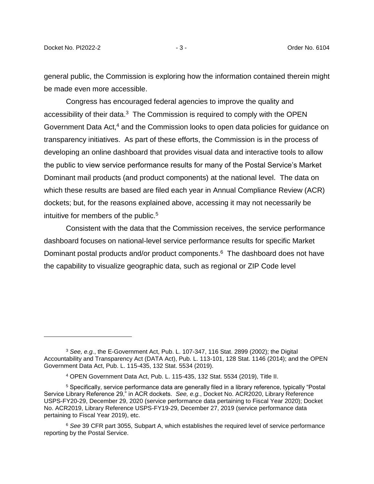general public, the Commission is exploring how the information contained therein might be made even more accessible.

Congress has encouraged federal agencies to improve the quality and accessibility of their data. $3$  The Commission is required to comply with the OPEN Government Data Act,<sup>4</sup> and the Commission looks to open data policies for guidance on transparency initiatives. As part of these efforts, the Commission is in the process of developing an online dashboard that provides visual data and interactive tools to allow the public to view service performance results for many of the Postal Service's Market Dominant mail products (and product components) at the national level. The data on which these results are based are filed each year in Annual Compliance Review (ACR) dockets; but, for the reasons explained above, accessing it may not necessarily be intuitive for members of the public.<sup>5</sup>

Consistent with the data that the Commission receives, the service performance dashboard focuses on national-level service performance results for specific Market Dominant postal products and/or product components. 6 The dashboard does not have the capability to visualize geographic data, such as regional or ZIP Code level

<sup>3</sup> *See, e.g.*, the E-Government Act, Pub. L. 107-347, 116 Stat. 2899 (2002); the Digital Accountability and Transparency Act (DATA Act), Pub. L. 113-101, 128 Stat. 1146 (2014); and the OPEN Government Data Act, Pub. L. 115-435, 132 Stat. 5534 (2019).

<sup>4</sup> OPEN Government Data Act, Pub. L. 115-435, 132 Stat. 5534 (2019), Title II.

<sup>5</sup> Specifically, service performance data are generally filed in a library reference, typically "Postal Service Library Reference 29," in ACR dockets. *See, e.g.*, Docket No. ACR2020, Library Reference USPS-FY20-29, December 29, 2020 (service performance data pertaining to Fiscal Year 2020); Docket No. ACR2019, Library Reference USPS-FY19-29, December 27, 2019 (service performance data pertaining to Fiscal Year 2019), etc.

<sup>6</sup> *See* 39 CFR part 3055, Subpart A, which establishes the required level of service performance reporting by the Postal Service.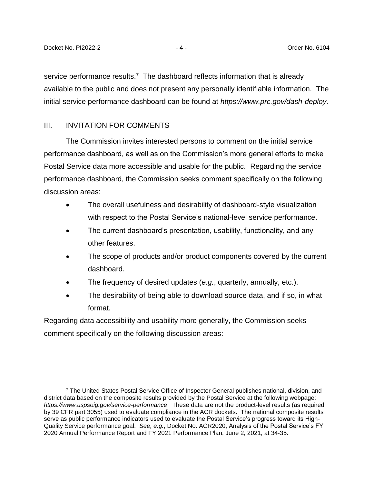service performance results.<sup>7</sup> The dashboard reflects information that is already available to the public and does not present any personally identifiable information. The initial service performance dashboard can be found at *https://www.prc.gov/dash-deploy*.

## III. INVITATION FOR COMMENTS

The Commission invites interested persons to comment on the initial service performance dashboard, as well as on the Commission's more general efforts to make Postal Service data more accessible and usable for the public. Regarding the service performance dashboard, the Commission seeks comment specifically on the following discussion areas:

- The overall usefulness and desirability of dashboard-style visualization with respect to the Postal Service's national-level service performance.
- The current dashboard's presentation, usability, functionality, and any other features.
- The scope of products and/or product components covered by the current dashboard.
- The frequency of desired updates (*e.g.*, quarterly, annually, etc.).
- The desirability of being able to download source data, and if so, in what format.

Regarding data accessibility and usability more generally, the Commission seeks comment specifically on the following discussion areas:

<sup>7</sup> The United States Postal Service Office of Inspector General publishes national, division, and district data based on the composite results provided by the Postal Service at the following webpage: *https://www.uspsoig.gov/service-performance*. These data are not the product-level results (as required by 39 CFR part 3055) used to evaluate compliance in the ACR dockets. The national composite results serve as public performance indicators used to evaluate the Postal Service's progress toward its High-Quality Service performance goal. *See, e.g.*, Docket No. ACR2020, Analysis of the Postal Service's FY 2020 Annual Performance Report and FY 2021 Performance Plan, June 2, 2021, at 34-35.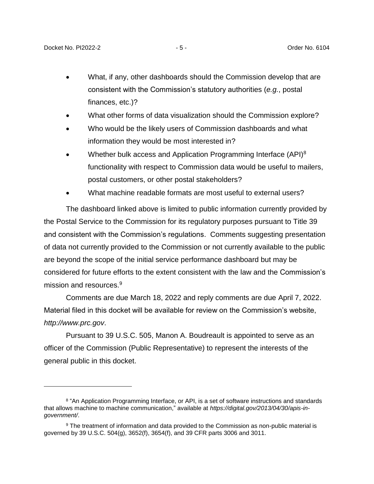- What, if any, other dashboards should the Commission develop that are consistent with the Commission's statutory authorities (*e.g.*, postal finances, etc.)?
- What other forms of data visualization should the Commission explore?
- Who would be the likely users of Commission dashboards and what information they would be most interested in?
- Whether bulk access and Application Programming Interface (API)<sup>8</sup> functionality with respect to Commission data would be useful to mailers, postal customers, or other postal stakeholders?
- What machine readable formats are most useful to external users?

The dashboard linked above is limited to public information currently provided by the Postal Service to the Commission for its regulatory purposes pursuant to Title 39 and consistent with the Commission's regulations. Comments suggesting presentation of data not currently provided to the Commission or not currently available to the public are beyond the scope of the initial service performance dashboard but may be considered for future efforts to the extent consistent with the law and the Commission's mission and resources. 9

Comments are due March 18, 2022 and reply comments are due April 7, 2022. Material filed in this docket will be available for review on the Commission's website, *http://www.prc.gov*.

Pursuant to 39 U.S.C. 505, Manon A. Boudreault is appointed to serve as an officer of the Commission (Public Representative) to represent the interests of the general public in this docket.

<sup>&</sup>lt;sup>8</sup> "An Application Programming Interface, or API, is a set of software instructions and standards that allows machine to machine communication," available at *https://digital.gov/2013/04/30/apis-ingovernment/*.

<sup>&</sup>lt;sup>9</sup> The treatment of information and data provided to the Commission as non-public material is governed by 39 U.S.C. 504(g), 3652(f), 3654(f), and 39 CFR parts 3006 and 3011.